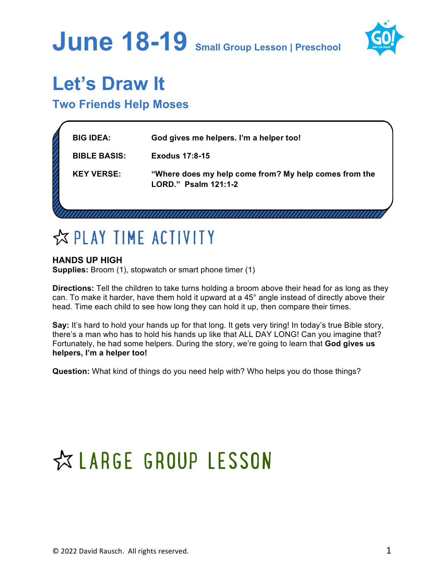## **June 18-19 Small Group Lesson | Preschool**



### **Let's Draw It**

### **Two Friends Help Moses**

| <b>BIG IDEA:</b>    | God gives me helpers. I'm a helper too!                                       |
|---------------------|-------------------------------------------------------------------------------|
| <b>BIBLE BASIS:</b> | Exodus 17:8-15                                                                |
| <b>KEY VERSE:</b>   | "Where does my help come from? My help comes from the<br>LORD." Psalm 121:1-2 |
|                     |                                                                               |

### **EXPLAY TIME ACTIVITY**

### **HANDS UP HIGH**

**Supplies:** Broom (1), stopwatch or smart phone timer (1)

**Directions:** Tell the children to take turns holding a broom above their head for as long as they can. To make it harder, have them hold it upward at a 45° angle instead of directly above their head. Time each child to see how long they can hold it up, then compare their times.

**Say:** It's hard to hold your hands up for that long. It gets very tiring! In today's true Bible story, there's a man who has to hold his hands up like that ALL DAY LONG! Can you imagine that? Fortunately, he had some helpers. During the story, we're going to learn that **God gives us helpers, I'm a helper too!**

**Question:** What kind of things do you need help with? Who helps you do those things?

## ☆ LARGE GROUP LESSON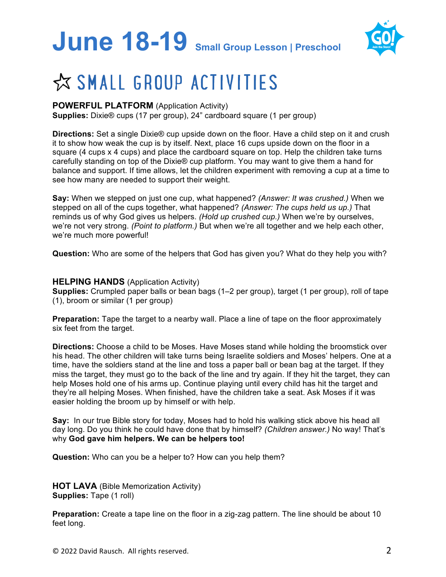# **June 18-19 Small Group Lesson | Preschool**



### ☆ SMALL GROUP ACTIVITIES

### **POWERFUL PLATFORM** (Application Activity)

**Supplies:** Dixie® cups (17 per group), 24" cardboard square (1 per group)

**Directions:** Set a single Dixie® cup upside down on the floor. Have a child step on it and crush it to show how weak the cup is by itself. Next, place 16 cups upside down on the floor in a square (4 cups x 4 cups) and place the cardboard square on top. Help the children take turns carefully standing on top of the Dixie® cup platform. You may want to give them a hand for balance and support. If time allows, let the children experiment with removing a cup at a time to see how many are needed to support their weight.

**Say:** When we stepped on just one cup, what happened? *(Answer: It was crushed.)* When we stepped on all of the cups together, what happened? *(Answer: The cups held us up.)* That reminds us of why God gives us helpers. *(Hold up crushed cup.)* When we're by ourselves, we're not very strong. *(Point to platform.)* But when we're all together and we help each other, we're much more powerful!

**Question:** Who are some of the helpers that God has given you? What do they help you with?

#### **HELPING HANDS** (Application Activity)

**Supplies:** Crumpled paper balls or bean bags (1–2 per group), target (1 per group), roll of tape (1), broom or similar (1 per group)

**Preparation:** Tape the target to a nearby wall. Place a line of tape on the floor approximately six feet from the target.

**Directions:** Choose a child to be Moses. Have Moses stand while holding the broomstick over his head. The other children will take turns being Israelite soldiers and Moses' helpers. One at a time, have the soldiers stand at the line and toss a paper ball or bean bag at the target. If they miss the target, they must go to the back of the line and try again. If they hit the target, they can help Moses hold one of his arms up. Continue playing until every child has hit the target and they're all helping Moses. When finished, have the children take a seat. Ask Moses if it was easier holding the broom up by himself or with help.

**Say:** In our true Bible story for today, Moses had to hold his walking stick above his head all day long. Do you think he could have done that by himself? *(Children answer.)* No way! That's why **God gave him helpers. We can be helpers too!**

**Question:** Who can you be a helper to? How can you help them?

**HOT LAVA** (Bible Memorization Activity) **Supplies: Tape (1 roll)** 

**Preparation:** Create a tape line on the floor in a zig-zag pattern. The line should be about 10 feet long.